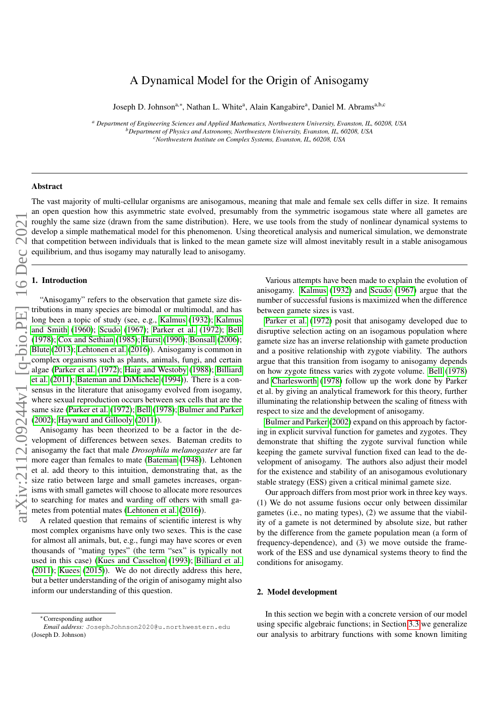# A Dynamical Model for the Origin of Anisogamy

Joseph D. Johnson<sup>a,∗</sup>, Nathan L. White<sup>a</sup>, Alain Kangabire<sup>a</sup>, Daniel M. Abrams<sup>a,b,c</sup>

*<sup>a</sup> Department of Engineering Sciences and Applied Mathematics, Northwestern University, Evanston, IL, 60208, USA <sup>b</sup>Department of Physics and Astronomy, Northwestern University, Evanston, IL, 60208, USA <sup>c</sup>Northwestern Institute on Complex Systems, Evanston, IL, 60208, USA*

## Abstract

The vast majority of multi-cellular organisms are anisogamous, meaning that male and female sex cells differ in size. It remains an open question how this asymmetric state evolved, presumably from the symmetric isogamous state where all gametes are roughly the same size (drawn from the same distribution). Here, we use tools from the study of nonlinear dynamical systems to develop a simple mathematical model for this phenomenon. Using theoretical analysis and numerical simulation, we demonstrate that competition between individuals that is linked to the mean gamete size will almost inevitably result in a stable anisogamous equilibrium, and thus isogamy may naturally lead to anisogamy.

# 1. Introduction

"Anisogamy" refers to the observation that gamete size distributions in many species are bimodal or multimodal, and has long been a topic of study (see, e.g., [Kalmus](#page-7-0) [\(1932\)](#page-7-0); [Kalmus](#page-7-1) [and Smith](#page-7-1) [\(1960\)](#page-7-1); [Scudo](#page-7-2) [\(1967\)](#page-7-2); [Parker et al.](#page-7-3) [\(1972\)](#page-7-3); [Bell](#page-6-0) [\(1978\)](#page-6-0); [Cox and Sethian](#page-7-4) [\(1985\)](#page-7-4); [Hurst](#page-7-5) [\(1990\)](#page-7-5); [Bonsall](#page-7-6) [\(2006\)](#page-7-6); [Blute](#page-7-7) [\(2013\)](#page-7-7); [Lehtonen et al.](#page-7-8) [\(2016\)](#page-7-8)). Anisogamy is common in complex organisms such as plants, animals, fungi, and certain algae [\(Parker et al.](#page-7-3) [\(1972\)](#page-7-3); [Haig and Westoby](#page-7-9) [\(1988\)](#page-7-9); [Billiard](#page-6-1) [et al.](#page-6-1) [\(2011\)](#page-6-1); [Bateman and DiMichele](#page-6-2) [\(1994\)](#page-6-2)). There is a consensus in the literature that anisogamy evolved from isogamy, where sexual reproduction occurs between sex cells that are the same size [\(Parker et al.](#page-7-3) [\(1972\)](#page-7-3); [Bell](#page-6-0) [\(1978\)](#page-6-0); [Bulmer and Parker](#page-7-10) [\(2002\)](#page-7-10); [Hayward and Gillooly](#page-7-11) [\(2011\)](#page-7-11)).

Anisogamy has been theorized to be a factor in the development of differences between sexes. Bateman credits to anisogamy the fact that male *Drosophila melanogaster* are far more eager than females to mate [\(Bateman](#page-6-3) [\(1948\)](#page-6-3)). Lehtonen et al. add theory to this intuition, demonstrating that, as the size ratio between large and small gametes increases, organisms with small gametes will choose to allocate more resources to searching for mates and warding off others with small gametes from potential mates [\(Lehtonen et al.](#page-7-8) [\(2016\)](#page-7-8)).

A related question that remains of scientific interest is why most complex organisms have only two sexes. This is the case for almost all animals, but, e.g., fungi may have scores or even thousands of "mating types" (the term "sex" is typically not used in this case) [\(Kues and Casselton](#page-7-12) [\(1993\)](#page-7-12); [Billiard et al.](#page-6-1) [\(2011\)](#page-6-1); [Kuees](#page-7-13) [\(2015\)](#page-7-13)). We do not directly address this here, but a better understanding of the origin of anisogamy might also inform our understanding of this question.

Various attempts have been made to explain the evolution of anisogamy. [Kalmus](#page-7-0) [\(1932\)](#page-7-0) and [Scudo](#page-7-2) [\(1967\)](#page-7-2) argue that the number of successful fusions is maximized when the difference between gamete sizes is vast.

[Parker et al.](#page-7-3) [\(1972\)](#page-7-3) posit that anisogamy developed due to disruptive selection acting on an isogamous population where gamete size has an inverse relationship with gamete production and a positive relationship with zygote viability. The authors argue that this transition from isogamy to anisogamy depends on how zygote fitness varies with zygote volume. [Bell](#page-6-0) [\(1978\)](#page-6-0) and [Charlesworth](#page-7-14) [\(1978\)](#page-7-14) follow up the work done by Parker et al. by giving an analytical framework for this theory, further illuminating the relationship between the scaling of fitness with respect to size and the development of anisogamy.

[Bulmer and Parker](#page-7-10) [\(2002\)](#page-7-10) expand on this approach by factoring in explicit survival function for gametes and zygotes. They demonstrate that shifting the zygote survival function while keeping the gamete survival function fixed can lead to the development of anisogamy. The authors also adjust their model for the existence and stability of an anisogamous evolutionary stable strategy (ESS) given a critical minimal gamete size.

Our approach differs from most prior work in three key ways. (1) We do not assume fusions occur only between dissimilar gametes (i.e., no mating types), (2) we assume that the viability of a gamete is not determined by absolute size, but rather by the difference from the gamete population mean (a form of frequency-dependence), and (3) we move outside the framework of the ESS and use dynamical systems theory to find the conditions for anisogamy.

# 2. Model development

In this section we begin with a concrete version of our model using specific algebraic functions; in Section [3.3](#page-3-0) we generalize our analysis to arbitrary functions with some known limiting

<sup>∗</sup>Corresponding author

*Email address:* JosephJohnson2020@u.northwestern.edu (Joseph D. Johnson)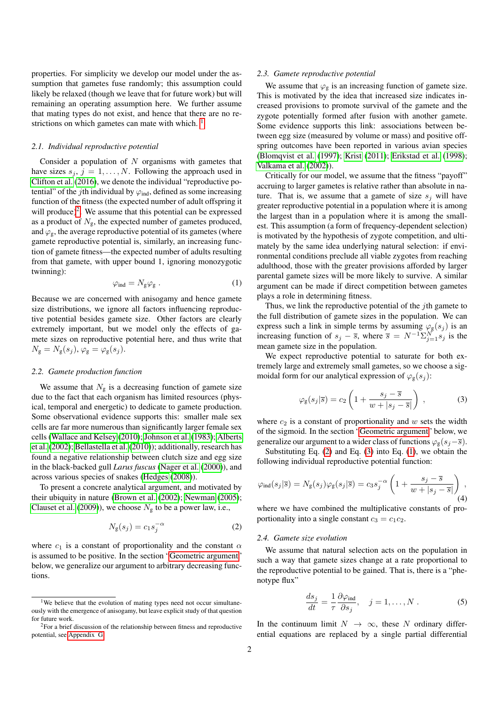properties. For simplicity we develop our model under the assumption that gametes fuse randomly; this assumption could likely be relaxed (though we leave that for future work) but will remaining an operating assumption here. We further assume that mating types do not exist, and hence that there are no restrictions on which gametes can mate with which.  $<sup>1</sup>$  $<sup>1</sup>$  $<sup>1</sup>$ </sup>

## *2.1. Individual reproductive potential*

Consider a population of  $N$  organisms with gametes that have sizes  $s_j$ ,  $j = 1, ..., N$ . Following the approach used in [Clifton et al.](#page-7-15) [\(2016\)](#page-7-15), we denote the individual "reproductive potential" of the *j*th individual by  $\varphi_{\text{ind}}$ , defined as some increasing function of the fitness (the expected number of adult offspring it will produce)<sup>[2](#page-1-1)</sup>. We assume that this potential can be expressed as a product of  $N_g$ , the expected number of gametes produced, and  $\varphi_{g}$ , the average reproductive potential of its gametes (where gamete reproductive potential is, similarly, an increasing function of gamete fitness—the expected number of adults resulting from that gamete, with upper bound 1, ignoring monozygotic twinning):

<span id="page-1-4"></span>
$$
\varphi_{\rm ind} = N_{\rm g} \varphi_{\rm g} \ . \tag{1}
$$

Because we are concerned with anisogamy and hence gamete size distributions, we ignore all factors influencing reproductive potential besides gamete size. Other factors are clearly extremely important, but we model only the effects of gamete sizes on reproductive potential here, and thus write that  $N_{\rm g} = N_{\rm g}(s_j), \varphi_{\rm g} = \varphi_{\rm g}(s_j).$ 

# *2.2. Gamete production function*

We assume that  $N<sub>g</sub>$  is a decreasing function of gamete size due to the fact that each organism has limited resources (physical, temporal and energetic) to dedicate to gamete production. Some observational evidence supports this: smaller male sex cells are far more numerous than significantly larger female sex cells [\(Wallace and Kelsey](#page-7-16) [\(2010\)](#page-7-16); [Johnson et al.](#page-7-17) [\(1983\)](#page-7-17); [Alberts](#page-6-4) [et al.](#page-6-4) [\(2002\)](#page-6-4); [Bellastella et al.](#page-6-5) [\(2010\)](#page-6-5)); additionally, research has found a negative relationship between clutch size and egg size in the black-backed gull *Larus fuscus* [\(Nager et al.](#page-7-18) [\(2000\)](#page-7-18)), and across various species of snakes [\(Hedges](#page-7-19) [\(2008\)](#page-7-19)).

To present a concrete analytical argument, and motivated by their ubiquity in nature [\(Brown et al.](#page-7-20) [\(2002\)](#page-7-20); [Newman](#page-7-21) [\(2005\)](#page-7-21); [Clauset et al.](#page-7-22) [\(2009\)](#page-7-22)), we choose  $N<sub>g</sub>$  to be a power law, i.e.,

$$
N_g(s_j) = c_1 s_j^{-\alpha} \tag{2}
$$

where  $c_1$  is a constant of proportionality and the constant  $\alpha$ is assumed to be positive. In the section ["Geometric argument"](#page-3-0) below, we generalize our argument to arbitrary decreasing functions.

#### *2.3. Gamete reproductive potential*

We assume that  $\varphi_{\rm g}$  is an increasing function of gamete size. This is motivated by the idea that increased size indicates increased provisions to promote survival of the gamete and the zygote potentially formed after fusion with another gamete. Some evidence supports this link: associations between between egg size (measured by volume or mass) and positive offspring outcomes have been reported in various avian species [\(Blomqvist et al.](#page-7-23) [\(1997\)](#page-7-23); [Krist](#page-7-24) [\(2011\)](#page-7-24); [Erikstad et al.](#page-7-25) [\(1998\)](#page-7-25); [Valkama et al.](#page-7-26) [\(2002\)](#page-7-26)).

Critically for our model, we assume that the fitness "payoff" accruing to larger gametes is relative rather than absolute in nature. That is, we assume that a gamete of size  $s_i$  will have greater reproductive potential in a population where it is among the largest than in a population where it is among the smallest. This assumption (a form of frequency-dependent selection) is motivated by the hypothesis of zygote competition, and ultimately by the same idea underlying natural selection: if environmental conditions preclude all viable zygotes from reaching adulthood, those with the greater provisions afforded by larger parental gamete sizes will be more likely to survive. A similar argument can be made if direct competition between gametes plays a role in determining fitness.

Thus, we link the reproductive potential of the jth gamete to the full distribution of gamete sizes in the population. We can express such a link in simple terms by assuming  $\varphi_{g}(s_j)$  is an increasing function of  $s_j - \overline{s}$ , where  $\overline{s} = N^{-1} \sum_{j=1}^{N} s_j$  is the mean gamete size in the population.

We expect reproductive potential to saturate for both extremely large and extremely small gametes, so we choose a sigmoidal form for our analytical expression of  $\varphi_{g}(s_j)$ :

<span id="page-1-5"></span><span id="page-1-3"></span>
$$
\varphi_{g}(s_{j}|\overline{s}) = c_{2} \left( 1 + \frac{s_{j} - \overline{s}}{w + |s_{j} - \overline{s}|} \right) , \qquad (3)
$$

where  $c_2$  is a constant of proportionality and w sets the width of the sigmoid. In the section ["Geometric argument"](#page-3-0) below, we generalize our argument to a wider class of functions  $\varphi_{\varrho}(s_j-\overline{s})$ .

Substituting Eq. [\(2\)](#page-1-2) and Eq. [\(3\)](#page-1-3) into Eq. [\(1\)](#page-1-4), we obtain the following individual reproductive potential function:

$$
\varphi_{\text{ind}}(s_j|\overline{s}) = N_g(s_j)\varphi_g(s_j|\overline{s}) = c_3 s_j^{-\alpha} \left( 1 + \frac{s_j - \overline{s}}{w + |s_j - \overline{s}|} \right),\tag{4}
$$

<span id="page-1-2"></span>where we have combined the multiplicative constants of proportionality into a single constant  $c_3 = c_1 c_2$ .

#### *2.4. Gamete size evolution*

We assume that natural selection acts on the population in such a way that gamete sizes change at a rate proportional to the reproductive potential to be gained. That is, there is a "phenotype flux"

<span id="page-1-6"></span>
$$
\frac{ds_j}{dt} = \frac{1}{\tau} \frac{\partial \varphi_{\text{ind}}}{\partial s_j}, \quad j = 1, \dots, N. \tag{5}
$$

In the continuum limit  $N \to \infty$ , these N ordinary differential equations are replaced by a single partial differential

<span id="page-1-0"></span><sup>&</sup>lt;sup>1</sup>We believe that the evolution of mating types need not occur simultaneously with the emergence of anisogamy, but leave explicit study of that question for future work.

<span id="page-1-1"></span><sup>2</sup>For a brief discussion of the relationship between fitness and reproductive potential, see [Appendix G.](#page-6-6)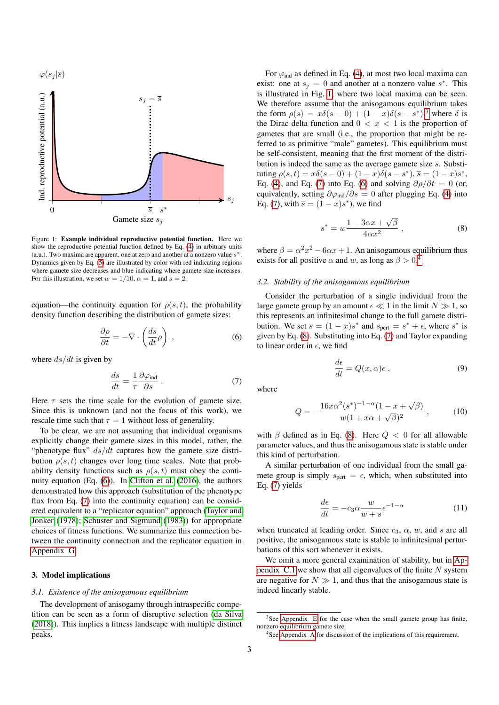<span id="page-2-2"></span>

Figure 1: Example individual reproductive potential function. Here we show the reproductive potential function defined by Eq. [\(4\)](#page-1-5) in arbitrary units (a.u.). Two maxima are apparent, one at zero and another at a nonzero value s ∗. Dynamics given by Eq. [\(5\)](#page-1-6) are illustrated by color with red indicating regions where gamete size decreases and blue indicating where gamete size increases. For this illustration, we set  $w = 1/10$ ,  $\alpha = 1$ , and  $\overline{s} = 2$ .

equation—the continuity equation for  $\rho(s, t)$ , the probability density function describing the distribution of gamete sizes:

$$
\frac{\partial \rho}{\partial t} = -\nabla \cdot \left(\frac{ds}{dt}\rho\right) \,,\tag{6}
$$

where  $ds/dt$  is given by

<span id="page-2-1"></span>
$$
\frac{ds}{dt} = \frac{1}{\tau} \frac{\partial \varphi_{\text{ind}}}{\partial s} \ . \tag{7}
$$

Here  $\tau$  sets the time scale for the evolution of gamete size. Since this is unknown (and not the focus of this work), we rescale time such that  $\tau = 1$  without loss of generality.

To be clear, we are not assuming that individual organisms explicitly change their gamete sizes in this model, rather, the "phenotype flux"  $ds/dt$  captures how the gamete size distribution  $\rho(s, t)$  changes over long time scales. Note that probability density functions such as  $\rho(s, t)$  must obey the continuity equation (Eq. [\(6\)](#page-2-0)). In [Clifton et al.](#page-7-15) [\(2016\)](#page-7-15), the authors demonstrated how this approach (substitution of the phenotype flux from Eq. [\(7\)](#page-2-1) into the continuity equation) can be considered equivalent to a "replicator equation" approach [\(Taylor and](#page-7-27) [Jonker](#page-7-27) [\(1978\)](#page-7-27); [Schuster and Sigmund](#page-7-28) [\(1983\)](#page-7-28)) for appropriate choices of fitness functions. We summarize this connection between the continuity connection and the replicator equation in [Appendix G.](#page-6-6)

## 3. Model implications

#### *3.1. Existence of the anisogamous equilibrium*

The development of anisogamy through intraspecific competition can be seen as a form of disruptive selection [\(da Silva](#page-7-29) [\(2018\)](#page-7-29)). This implies a fitness landscape with multiple distinct peaks.

For  $\varphi_{\text{ind}}$  as defined in Eq. [\(4\)](#page-1-5), at most two local maxima can exist: one at  $s_j = 0$  and another at a nonzero value  $s^*$ . This is illustrated in Fig. [1,](#page-2-2) where two local maxima can be seen. We therefore assume that the anisogamous equilibrium takes the form  $\rho(s) = x\delta(s-0) + (1-x)\delta(s-s^*)^3$  $\rho(s) = x\delta(s-0) + (1-x)\delta(s-s^*)^3$ , where  $\delta$  is the Dirac delta function and  $0 < x < 1$  is the proportion of gametes that are small (i.e., the proportion that might be referred to as primitive "male" gametes). This equilibrium must be self-consistent, meaning that the first moment of the distribution is indeed the same as the average gamete size  $\bar{s}$ . Substituting  $\rho(s,t) = x\delta(s-0) + (1-x)\delta(s-s^*), \overline{s} = (1-x)s^*$ , Eq. [\(4\)](#page-1-5), and Eq. [\(7\)](#page-2-1) into Eq. [\(6\)](#page-2-0) and solving  $\partial \rho / \partial t = 0$  (or, equivalently, setting  $\partial \varphi_{ind}/\partial s = 0$  after plugging Eq. [\(4\)](#page-1-5) into Eq. [\(7\)](#page-2-1), with  $\overline{s} = (1-x)s^*$ , we find

<span id="page-2-5"></span>
$$
s^* = w \frac{1 - 3\alpha x + \sqrt{\beta}}{4\alpha x^2} \,,\tag{8}
$$

where  $\beta = \alpha^2 x^2 - 6\alpha x + 1$ . An anisogamous equilibrium thus exists for all positive  $\alpha$  and w, as long as  $\beta > 0.4$  $\beta > 0.4$ 

# <span id="page-2-6"></span>*3.2. Stability of the anisogamous equilibrium*

<span id="page-2-0"></span>Consider the perturbation of a single individual from the large gamete group by an amount  $\epsilon \ll 1$  in the limit  $N \gg 1$ , so this represents an infinitesimal change to the full gamete distribution. We set  $\overline{s} = (1-x)s^*$  and  $s_{\text{pert}} = s^* + \epsilon$ , where  $s^*$  is given by Eq. [\(8\)](#page-2-5). Substituting into Eq. [\(7\)](#page-2-1) and Taylor expanding to linear order in  $\epsilon$ , we find

<span id="page-2-7"></span>
$$
\frac{d\epsilon}{dt} = Q(x,\alpha)\epsilon \,,\tag{9}
$$

where

$$
Q = -\frac{16x\alpha^2(s^*)^{-1-\alpha}(1-x+\sqrt{\beta})}{w(1+x\alpha+\sqrt{\beta})^2},
$$
 (10)

with  $\beta$  defined as in Eq. [\(8\)](#page-2-5). Here  $Q < 0$  for all allowable parameter values, and thus the anisogamous state is stable under this kind of perturbation.

A similar perturbation of one individual from the small gamete group is simply  $s_{\text{pert}} = \epsilon$ , which, when substituted into Eq. [\(7\)](#page-2-1) yields

<span id="page-2-8"></span>
$$
\frac{d\epsilon}{dt} = -c_3 \alpha \frac{w}{w + \overline{s}} \epsilon^{-1-\alpha} \tag{11}
$$

when truncated at leading order. Since  $c_3$ ,  $\alpha$ ,  $w$ , and  $\overline{s}$  are all positive, the anisogamous state is stable to infinitesimal perturbations of this sort whenever it exists.

We omit a more general examination of stability, but in [Ap](#page-4-0)pendix  $C.1$  we show that all eigenvalues of the finite N system are negative for  $N \gg 1$ , and thus that the anisogamous state is indeed linearly stable.

<span id="page-2-3"></span><sup>&</sup>lt;sup>3</sup>See [Appendix E](#page-5-0) for the case when the small gamete group has finite, nonzero equilibrium gamete size.

<span id="page-2-4"></span><sup>&</sup>lt;sup>4</sup>See [Appendix A](#page-4-1) for discussion of the implications of this requirement.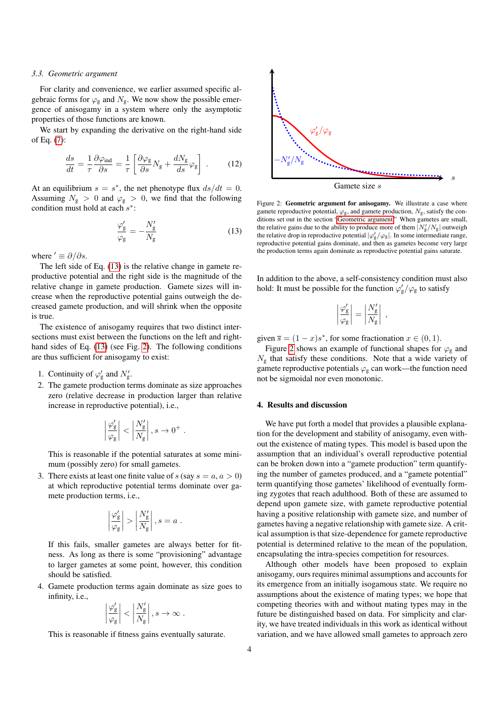# <span id="page-3-0"></span>*3.3. Geometric argument*

For clarity and convenience, we earlier assumed specific algebraic forms for  $\varphi_{\rm g}$  and  $N_{\rm g}$ . We now show the possible emergence of anisogamy in a system where only the asymptotic properties of those functions are known.

We start by expanding the derivative on the right-hand side of Eq. [\(7\)](#page-2-1):

$$
\frac{ds}{dt} = \frac{1}{\tau} \frac{\partial \varphi_{\text{ind}}}{\partial s} = \frac{1}{\tau} \left[ \frac{\partial \varphi_{g}}{\partial s} N_{g} + \frac{dN_{g}}{ds} \varphi_{g} \right] . \tag{12}
$$

At an equilibrium  $s = s^*$ , the net phenotype flux  $ds/dt = 0$ . Assuming  $N_g > 0$  and  $\varphi_g > 0$ , we find that the following condition must hold at each  $s^*$ :

<span id="page-3-1"></span>
$$
\frac{\varphi'_{\rm g}}{\varphi_{\rm g}} = -\frac{N'_{\rm g}}{N_{\rm g}}\tag{13}
$$

where  $' \equiv \partial/\partial s$ .

The left side of Eq. [\(13\)](#page-3-1) is the relative change in gamete reproductive potential and the right side is the magnitude of the relative change in gamete production. Gamete sizes will increase when the reproductive potential gains outweigh the decreased gamete production, and will shrink when the opposite is true.

The existence of anisogamy requires that two distinct intersections must exist between the functions on the left and righthand sides of Eq. [\(13\)](#page-3-1) (see Fig. [2\)](#page-3-2). The following conditions are thus sufficient for anisogamy to exist:

- 1. Continuity of  $\varphi'_g$  and  $N'_g$ .
- 2. The gamete production terms dominate as size approaches zero (relative decrease in production larger than relative increase in reproductive potential), i.e.,

$$
\left|\frac{\varphi'_g}{\varphi_g}\right| < \left|\frac{N'_g}{N_g}\right|, s \to 0^+.
$$

This is reasonable if the potential saturates at some minimum (possibly zero) for small gametes.

3. There exists at least one finite value of s (say  $s = a, a > 0$ ) at which reproductive potential terms dominate over gamete production terms, i.e.,

$$
\left|\frac{\varphi'_g}{\varphi_g}\right| > \left|\frac{N'_g}{N_g}\right|, s = a.
$$

If this fails, smaller gametes are always better for fitness. As long as there is some "provisioning" advantage to larger gametes at some point, however, this condition should be satisfied.

4. Gamete production terms again dominate as size goes to infinity, i.e.,

$$
\left|\frac{\varphi'_g}{\varphi_g}\right| < \left|\frac{N'_g}{N_g}\right|, s \to \infty.
$$

This is reasonable if fitness gains eventually saturate.

<span id="page-3-2"></span>

Figure 2: Geometric argument for anisogamy. We illustrate a case where gamete reproductive potential,  $\varphi$ g, and gamete production,  $N$ g, satisfy the conditions set out in the section ["Geometric argument.](#page-3-0)" When gametes are small, the relative gains due to the ability to produce more of them  $|N'_g/N_g|$  outweigh the relative drop in reproductive potential  $|\varphi'_g/\varphi_g|$ . In some intermediate range, reproductive potential gains dominate, and then as gametes become very large the production terms again dominate as reproductive potential gains saturate.

In addition to the above, a self-consistency condition must also hold: It must be possible for the function  $\varphi'_g/\varphi_g$  to satisfy

$$
\left|\frac{\varphi_{\rm g}'}{\varphi_{\rm g}}\right| = \left|\frac{N_{\rm g}'}{N_{\rm g}}\right| \;,
$$

given  $\overline{s} = (1-x)s^*$ , for some fractionation  $x \in (0,1)$ .

Figure [2](#page-3-2) shows an example of functional shapes for  $\varphi_{\rm g}$  and  $N_{\rm g}$  that satisfy these conditions. Note that a wide variety of gamete reproductive potentials  $\varphi_{\rm g}$  can work—the function need not be sigmoidal nor even monotonic.

# 4. Results and discussion

We have put forth a model that provides a plausible explanation for the development and stability of anisogamy, even without the existence of mating types. This model is based upon the assumption that an individual's overall reproductive potential can be broken down into a "gamete production" term quantifying the number of gametes produced, and a "gamete potential" term quantifying those gametes' likelihood of eventually forming zygotes that reach adulthood. Both of these are assumed to depend upon gamete size, with gamete reproductive potential having a positive relationship with gamete size, and number of gametes having a negative relationship with gamete size. A critical assumption is that size-dependence for gamete reproductive potential is determined relative to the mean of the population, encapsulating the intra-species competition for resources.

Although other models have been proposed to explain anisogamy, ours requires minimal assumptions and accounts for its emergence from an initially isogamous state. We require no assumptions about the existence of mating types; we hope that competing theories with and without mating types may in the future be distinguished based on data. For simplicity and clarity, we have treated individuals in this work as identical without variation, and we have allowed small gametes to approach zero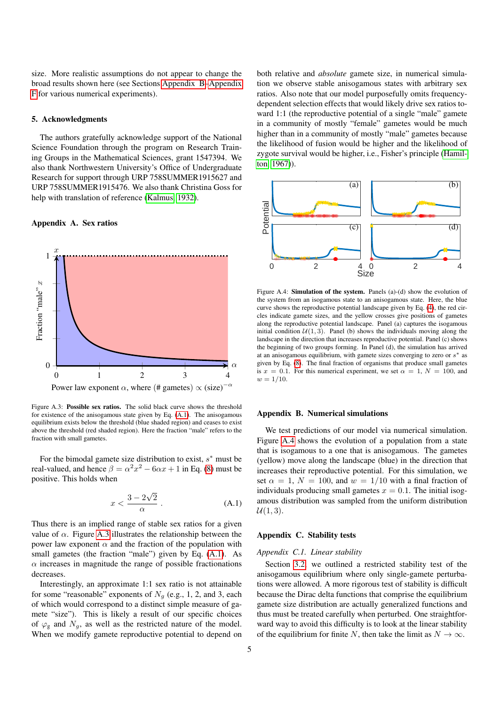size. More realistic assumptions do not appear to change the broad results shown here (see Sections [Appendix B](#page-4-2)[–Appendix](#page-6-7) [F](#page-6-7) for various numerical experiments).

#### 5. Acknowledgments

The authors gratefully acknowledge support of the National Science Foundation through the program on Research Training Groups in the Mathematical Sciences, grant 1547394. We also thank Northwestern University's Office of Undergraduate Research for support through URP 758SUMMER1915627 and URP 758SUMMER1915476. We also thank Christina Goss for help with translation of reference [\(Kalmus, 1932\)](#page-7-0).

# <span id="page-4-1"></span>Appendix A. Sex ratios

<span id="page-4-4"></span>

Figure A.3: Possible sex ratios. The solid black curve shows the threshold for existence of the anisogamous state given by Eq. [\(A.1\)](#page-4-3). The anisogamous equilibrium exists below the threshold (blue shaded region) and ceases to exist above the threshold (red shaded region). Here the fraction "male" refers to the fraction with small gametes.

For the bimodal gamete size distribution to exist,  $s^*$  must be real-valued, and hence  $\beta = \alpha^2 x^2 - 6\alpha x + 1$  in Eq. [\(8\)](#page-2-5) must be positive. This holds when

<span id="page-4-3"></span>
$$
x < \frac{3 - 2\sqrt{2}}{\alpha} \tag{A.1}
$$

Thus there is an implied range of stable sex ratios for a given value of  $\alpha$ . Figure [A.3](#page-4-4) illustrates the relationship between the power law exponent  $\alpha$  and the fraction of the population with small gametes (the fraction "male") given by Eq.  $(A.1)$ . As  $\alpha$  increases in magnitude the range of possible fractionations decreases.

Interestingly, an approximate 1:1 sex ratio is not attainable for some "reasonable" exponents of  $N_a$  (e.g., 1, 2, and 3, each of which would correspond to a distinct simple measure of gamete "size"). This is likely a result of our specific choices of  $\varphi_{\rm g}$  and  $N_g$ , as well as the restricted nature of the model. When we modify gamete reproductive potential to depend on

both relative and *absolute* gamete size, in numerical simulation we observe stable anisogamous states with arbitrary sex ratios. Also note that our model purposefully omits frequencydependent selection effects that would likely drive sex ratios toward 1:1 (the reproductive potential of a single "male" gamete in a community of mostly "female" gametes would be much higher than in a community of mostly "male" gametes because the likelihood of fusion would be higher and the likelihood of zygote survival would be higher, i.e., Fisher's principle [\(Hamil](#page-7-30)[ton, 1967\)](#page-7-30)).

<span id="page-4-5"></span>

Figure A.4: Simulation of the system. Panels (a)-(d) show the evolution of the system from an isogamous state to an anisogamous state. Here, the blue curve shows the reproductive potential landscape given by Eq. [\(4\)](#page-1-5), the red circles indicate gamete sizes, and the yellow crosses give positions of gametes along the reproductive potential landscape. Panel (a) captures the isogamous initial condition  $U(1, 3)$ . Panel (b) shows the individuals moving along the landscape in the direction that increases reproductive potential. Panel (c) shows the beginning of two groups forming. In Panel (d), the simulation has arrived at an anisogamous equilibrium, with gamete sizes converging to zero or  $s^*$  as given by Eq. [\(8\)](#page-2-5). The final fraction of organisms that produce small gametes is  $x = 0.1$ . For this numerical experiment, we set  $\alpha = 1$ ,  $N = 100$ , and  $w = 1/10$ .

## <span id="page-4-2"></span>Appendix B. Numerical simulations

We test predictions of our model via numerical simulation. Figure [A.4](#page-4-5) shows the evolution of a population from a state that is isogamous to a one that is anisogamous. The gametes (yellow) move along the landscape (blue) in the direction that increases their reproductive potential. For this simulation, we set  $\alpha = 1$ ,  $N = 100$ , and  $w = 1/10$  with a final fraction of individuals producing small gametes  $x = 0.1$ . The initial isogamous distribution was sampled from the uniform distribution  $U(1,3)$ .

# Appendix C. Stability tests

#### <span id="page-4-0"></span>*Appendix C.1. Linear stability*

Section [3.2,](#page-2-6) we outlined a restricted stability test of the anisogamous equilibrium where only single-gamete perturbations were allowed. A more rigorous test of stability is difficult because the Dirac delta functions that comprise the equilibrium gamete size distribution are actually generalized functions and thus must be treated carefully when perturbed. One straightforward way to avoid this difficulty is to look at the linear stability of the equilibrium for finite N, then take the limit as  $N \to \infty$ .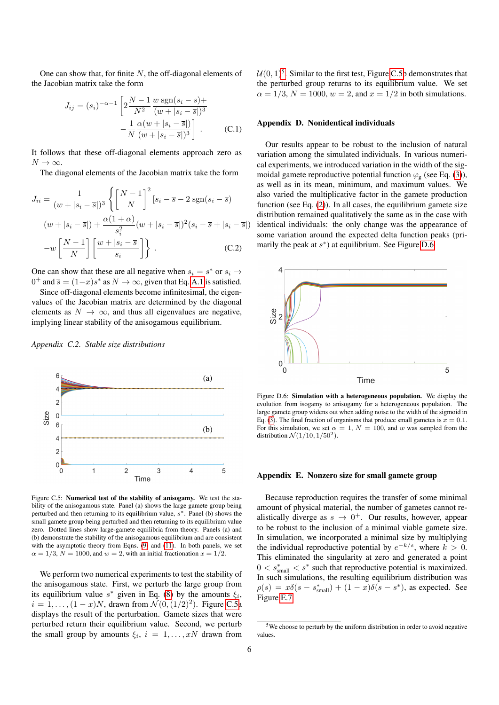One can show that, for finite  $N$ , the off-diagonal elements of the Jacobian matrix take the form

$$
J_{ij} = (s_i)^{-\alpha - 1} \left[ 2 \frac{N - 1}{N^2} \frac{w \operatorname{sgn}(s_i - \overline{s}) + (w + |s_i - \overline{s}|)^3} - \frac{1}{N} \frac{\alpha (w + |s_i - \overline{s}|)}{(w + |s_i - \overline{s}|)^3} \right].
$$
 (C.1)

It follows that these off-diagonal elements approach zero as  $N \to \infty$ .

The diagonal elements of the Jacobian matrix take the form

$$
J_{ii} = \frac{1}{(w+|s_i-\overline{s}|)^3} \left\{ \left[\frac{N-1}{N}\right]^2 [s_i-\overline{s}-2 \operatorname{sgn}(s_i-\overline{s})
$$

$$
(w+|s_i-\overline{s}|) + \frac{\alpha(1+\alpha)}{s_i^2} (w+|s_i-\overline{s}|)^2 (s_i-\overline{s}+|s_i-\overline{s}|)
$$

$$
-w\left[\frac{N-1}{N}\right] \left[\frac{w+|s_i-\overline{s}|}{s_i}\right] \right\}.
$$
 (C.2)

One can show that these are all negative when  $s_i = s^*$  or  $s_i \rightarrow$  $0^+$  and  $\overline{s} = (1-x)s^*$  as  $N \to \infty$ , given that Eq. [A.1](#page-4-3) is satisfied.

Since off-diagonal elements become infinitesimal, the eigenvalues of the Jacobian matrix are determined by the diagonal elements as  $N \to \infty$ , and thus all eigenvalues are negative, implying linear stability of the anisogamous equilibrium.

## *Appendix C.2. Stable size distributions*

<span id="page-5-1"></span>

Figure C.5: Numerical test of the stability of anisogamy. We test the stability of the anisogamous state. Panel (a) shows the large gamete group being perturbed and then returning to its equilibrium value,  $s^*$ . Panel (b) shows the small gamete group being perturbed and then returning to its equilibrium value zero. Dotted lines show large-gamete equilibria from theory. Panels (a) and (b) demonstrate the stability of the anisogamous equilibrium and are consistent with the asymptotic theory from Eqns.  $(9)$  and  $(11)$ . In both panels, we set  $\alpha = 1/3$ ,  $N = 1000$ , and  $w = 2$ , with an initial fractionation  $x = 1/2$ .

We perform two numerical experiments to test the stability of the anisogamous state. First, we perturb the large group from its equilibrium value  $s^*$  given in Eq. [\(8\)](#page-2-5) by the amounts  $\xi_i$ ,  $i = 1, \ldots, (1 - x)N$ , drawn from  $\mathcal{N}(0, (1/2)^2)$ . Figure [C.5a](#page-5-1) displays the result of the perturbation. Gamete sizes that were perturbed return their equilibrium value. Second, we perturb the small group by amounts  $\xi_i$ ,  $i = 1, \dots, xN$  drawn from

 $\mathcal{U}(0, 1)^5$  $\mathcal{U}(0, 1)^5$ . Similar to the first test, Figure [C.5b](#page-5-1) demonstrates that the perturbed group returns to its equilibrium value. We set  $\alpha = 1/3$ ,  $N = 1000$ ,  $w = 2$ , and  $x = 1/2$  in both simulations.

## Appendix D. Nonidentical individuals

Our results appear to be robust to the inclusion of natural variation among the simulated individuals. In various numerical experiments, we introduced variation in the width of the sigmoidal gamete reproductive potential function  $\varphi_{g}$  (see Eq. [\(3\)](#page-1-3)), as well as in its mean, minimum, and maximum values. We also varied the multiplicative factor in the gamete production function (see Eq.  $(2)$ ). In all cases, the equilibrium gamete size distribution remained qualitatively the same as in the case with identical individuals: the only change was the appearance of some variation around the expected delta function peaks (primarily the peak at  $s^*$ ) at equilibrium. See Figure [D.6.](#page-5-3)

<span id="page-5-3"></span>

Figure D.6: Simulation with a heterogeneous population. We display the evolution from isogamy to anisogamy for a heterogeneous population. The large gamete group widens out when adding noise to the width of the sigmoid in Eq. [\(3\)](#page-1-3). The final fraction of organisms that produce small gametes is  $x = 0.1$ . For this simulation, we set  $\alpha = 1$ ,  $N = 100$ , and w was sampled from the distribution  $\mathcal{N}(1/10, 1/50^2)$ .

## <span id="page-5-0"></span>Appendix E. Nonzero size for small gamete group

Because reproduction requires the transfer of some minimal amount of physical material, the number of gametes cannot realistically diverge as  $s \to 0^+$ . Our results, however, appear to be robust to the inclusion of a minimal viable gamete size. In simulation, we incorporated a minimal size by multiplying the individual reproductive potential by  $e^{-k/s}$ , where  $k > 0$ . This eliminated the singularity at zero and generated a point  $0 < s^*_{\text{small}} < s^*$  such that reproductive potential is maximized. In such simulations, the resulting equilibrium distribution was  $\rho(s) = x\delta(s - s_{\text{small}}^*) + (1 - x)\delta(s - s^*)$ , as expected. See Figure [E.7.](#page-6-8)

<span id="page-5-2"></span><sup>5</sup>We choose to perturb by the uniform distribution in order to avoid negative values.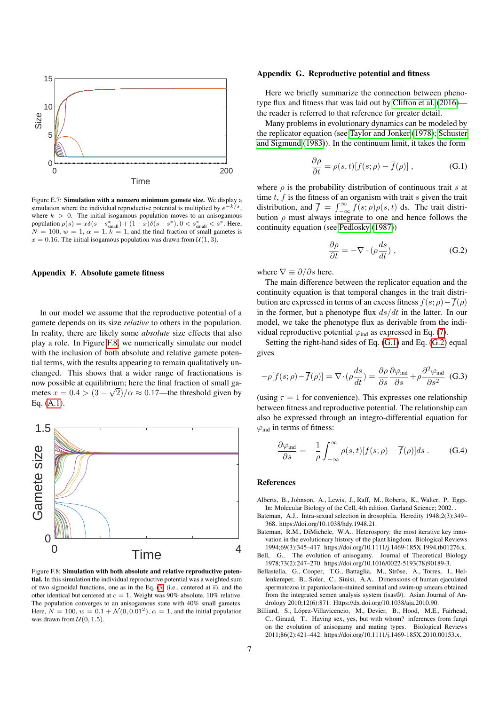<span id="page-6-8"></span>

Figure E.7: Simulation with a nonzero minimum gamete size. We display a simulation where the individual reproductive potential is multiplied by  $e^{-k}$ . , where  $k > 0$ . The initial isogamous population moves to an anisogamous population  $\rho(s) = x\delta(s - s_{\text{small}}^*) + (1 - x)\delta(s - s^*)$ ,  $0 < s_{\text{small}}^* < s^*$ . Here,  $N = 100$ ,  $w = 1$ ,  $\alpha = 1$ ,  $\overline{k} = 1$ , and the final fraction of small gametes is  $x = 0.16$ . The initial isogamous population was drawn from  $\mathcal{U}(1, 3)$ .

## <span id="page-6-7"></span>Appendix F. Absolute gamete fitness

In our model we assume that the reproductive potential of a gamete depends on its size *relative* to others in the population. In reality, there are likely some *absolute* size effects that also play a role. In Figure [F.8,](#page-6-9) we numerically simulate our model with the inclusion of both absolute and relative gamete potential terms, with the results appearing to remain qualitatively unchanged. This shows that a wider range of fractionations is now possible at equilibrium; here the final fraction of small gametes  $x = 0.4 > (3 - \sqrt{2})/\alpha \approx 0.17$ —the threshold given by Eq. [\(A.1\)](#page-4-3).

<span id="page-6-9"></span>

Figure F.8: Simulation with both absolute and relative reproductive potential. In this simulation the individual reproductive potential was a weighted sum of two sigmoidal functions, one as in the Eq. [\(3\)](#page-1-3) (i.e., centered at  $\overline{s}$ ), and the other identical but centered at  $c = 1$ . Weight was 90% absolute, 10% relative. The population converges to an anisogamous state with 40% small gametes. Here,  $N = 100$ ,  $w = 0.1 + \mathcal{N}(0, 0.01^2)$ ,  $\alpha = 1$ , and the initial population was drawn from  $U(0, 1.5)$ .

#### <span id="page-6-6"></span>Appendix G. Reproductive potential and fitness

Here we briefly summarize the connection between pheno-type flux and fitness that was laid out by [Clifton et al.](#page-7-15) [\(2016\)](#page-7-15)the reader is referred to that reference for greater detail.

Many problems in evolutionary dynamics can be modeled by the replicator equation (see [Taylor and Jonker](#page-7-27) [\(1978\)](#page-7-27); [Schuster](#page-7-28) [and Sigmund](#page-7-28) [\(1983\)](#page-7-28)). In the continuum limit, it takes the form

<span id="page-6-10"></span>
$$
\frac{\partial \rho}{\partial t} = \rho(s, t) [f(s; \rho) - \overline{f}(\rho)], \qquad (G.1)
$$

where  $\rho$  is the probability distribution of continuous trait s at time  $t$ ,  $f$  is the fitness of an organism with trait  $s$  given the trait distribution, and  $\overline{f} = \int_{-\infty}^{\infty} f(s; \rho) \rho(s, t)$  ds. The trait distribution  $\rho$  must always integrate to one and hence follows the continuity equation (see [Pedlosky](#page-7-31) [\(1987\)](#page-7-31))

<span id="page-6-11"></span>
$$
\frac{\partial \rho}{\partial t} = -\nabla \cdot (\rho \frac{ds}{dt}) , \qquad (G.2)
$$

where  $\nabla \equiv \partial/\partial s$  here.

The main difference between the replicator equation and the continuity equation is that temporal changes in the trait distribution are expressed in terms of an excess fitness  $f(s; \rho) - \overline{f}(\rho)$ in the former, but a phenotype flux  $ds/dt$  in the latter. In our model, we take the phenotype flux as derivable from the individual reproductive potential  $\varphi_{\text{ind}}$  as expressed in Eq. [\(7\)](#page-2-1).

Setting the right-hand sides of Eq. [\(G.1\)](#page-6-10) and Eq. [\(G.2\)](#page-6-11) equal gives

$$
-\rho[f(s;\rho)-\overline{f}(\rho)] = \nabla \cdot (\rho \frac{ds}{dt}) = \frac{\partial \rho}{\partial s} \frac{\partial \varphi_{\text{ind}}}{\partial s} + \rho \frac{\partial^2 \varphi_{\text{ind}}}{\partial s^2}
$$
 (G.3)

(using  $\tau = 1$  for convenience). This expresses one relationship between fitness and reproductive potential. The relationship can also be expressed through an integro-differential equation for  $\varphi$ <sub>ind</sub> in terms of fitness:

$$
\frac{\partial \varphi_{\text{ind}}}{\partial s} = -\frac{1}{\rho} \int_{-\infty}^{\infty} \rho(s, t) [f(s; \rho) - \overline{f}(\rho)] ds .
$$
 (G.4)

#### References

- <span id="page-6-4"></span>Alberts, B., Johnson, A., Lewis, J., Raff, M., Roberts, K., Walter, P.. Eggs. In: Molecular Biology of the Cell, 4th edition. Garland Science; 2002. .
- <span id="page-6-3"></span>Bateman, A.J.. Intra-sexual selection in drosophila. Heredity 1948;2(3):349– 368. https://doi.org/10.1038/hdy.1948.21.
- <span id="page-6-2"></span>Bateman, R.M., DiMichele, W.A.. Heterospory: the most iterative key innovation in the evolutionary history of the plant kingdom. Biological Reviews 1994;69(3):345–417. https://doi.org/10.1111/j.1469-185X.1994.tb01276.x.
- <span id="page-6-0"></span>Bell, G.. The evolution of anisogamy. Journal of Theoretical Biology 1978;73(2):247–270. https://doi.org/10.1016/0022-5193(78)90189-3.
- <span id="page-6-5"></span>Bellastella, G., Cooper, T.G., Battaglia, M., Ströse, A., Torres, I., Hellenkemper, B., Soler, C., Sinisi, A.A.. Dimensions of human ejaculated spermatozoa in papanicolaou-stained seminal and swim-up smears obtained from the integrated semen analysis system (isas®). Asian Journal of Andrology 2010;12(6):871. Https://dx.doi.org/10.1038/aja.2010.90.
- <span id="page-6-1"></span>Billiard, S., López-Villavicencio, M., Devier, B., Hood, M.E., Fairhead, C., Giraud, T.. Having sex, yes, but with whom? inferences from fungi on the evolution of anisogamy and mating types. Biological Reviews 2011;86(2):421–442. https://doi.org/10.1111/j.1469-185X.2010.00153.x.